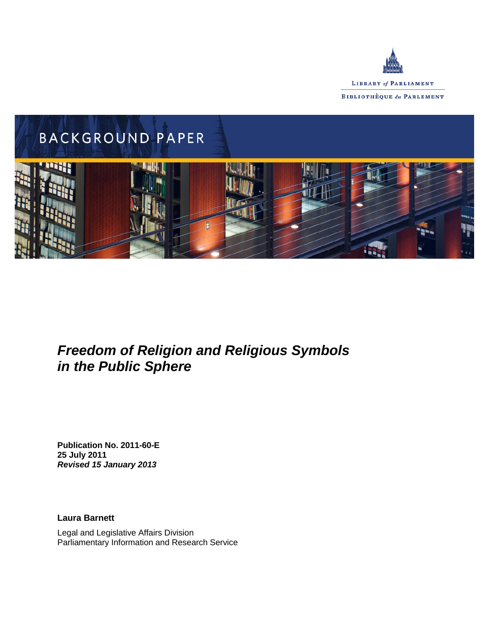



# *Freedom of Religion and Religious Symbols in the Public Sphere*

**Publication No. 2011-60-E 25 July 2011** *Revised 15 January 2013*

**Laura Barnett**

Legal and Legislative Affairs Division Parliamentary Information and Research Service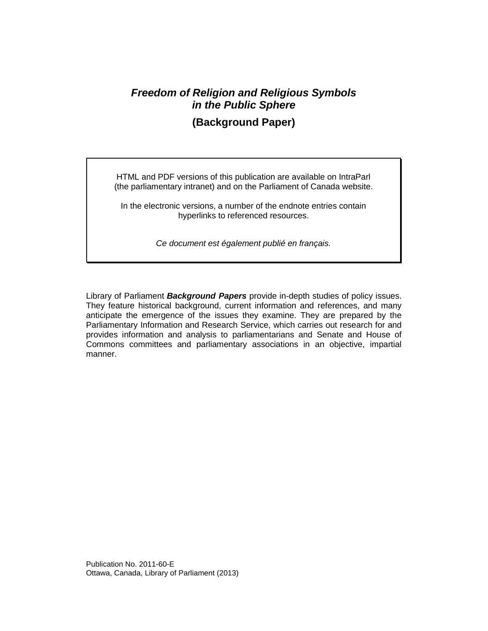# *Freedom of Religion and Religious Symbols in the Public Sphere*

**(Background Paper)**

HTML and PDF versions of this publication are available on IntraParl (the parliamentary intranet) and on the Parliament of Canada website.

In the electronic versions, a number of the endnote entries contain hyperlinks to referenced resources.

*Ce document est également publié en français.*

Library of Parliament *Background Papers* provide in-depth studies of policy issues. They feature historical background, current information and references, and many anticipate the emergence of the issues they examine. They are prepared by the Parliamentary Information and Research Service, which carries out research for and provides information and analysis to parliamentarians and Senate and House of Commons committees and parliamentary associations in an objective, impartial manner.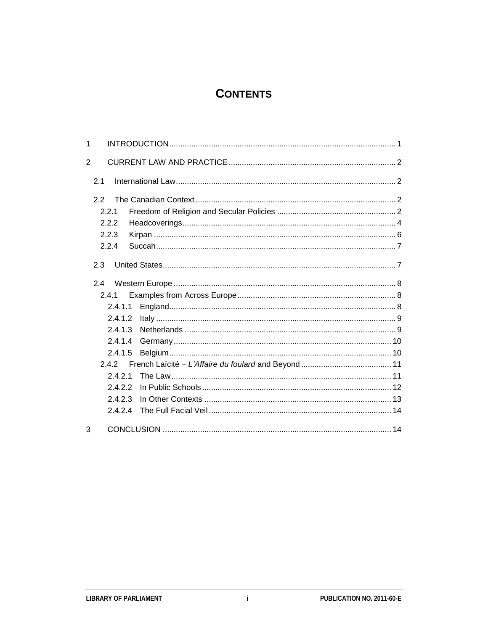# **CONTENTS**

| 1              |         |  |  |
|----------------|---------|--|--|
| $\overline{2}$ |         |  |  |
|                | 2.1     |  |  |
|                | 22      |  |  |
|                | 2.2.1   |  |  |
|                | 2.2.2   |  |  |
|                | 2.2.3   |  |  |
|                | 2.2.4   |  |  |
|                | 2.3     |  |  |
| 2.4            |         |  |  |
|                | 2.4.1   |  |  |
|                | 2.4.1.1 |  |  |
|                | 2.4.1.2 |  |  |
|                | 2.4.1.3 |  |  |
|                | 2.4.1.4 |  |  |
|                | 2.4.1.5 |  |  |
| 242            |         |  |  |
|                | 2.4.2.1 |  |  |
|                | 2.4.2.2 |  |  |
|                | 2.4.2.3 |  |  |
|                | 2424    |  |  |
| 3              |         |  |  |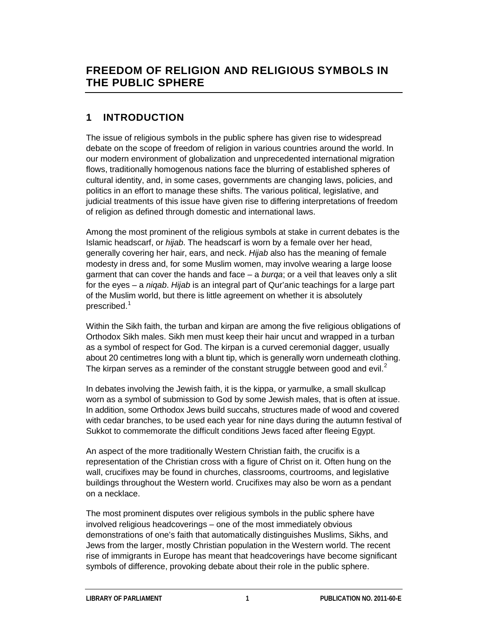# **1 INTRODUCTION**

The issue of religious symbols in the public sphere has given rise to widespread debate on the scope of freedom of religion in various countries around the world. In our modern environment of globalization and unprecedented international migration flows, traditionally homogenous nations face the blurring of established spheres of cultural identity, and, in some cases, governments are changing laws, policies, and politics in an effort to manage these shifts. The various political, legislative, and judicial treatments of this issue have given rise to differing interpretations of freedom of religion as defined through domestic and international laws.

Among the most prominent of the religious symbols at stake in current debates is the Islamic headscarf, or *hijab*. The headscarf is worn by a female over her head, generally covering her hair, ears, and neck. *Hijab* also has the meaning of female modesty in dress and, for some Muslim women, may involve wearing a large loose garment that can cover the hands and face – a *burqa*; or a veil that leaves only a slit for the eyes – a *niqab*. *Hijab* is an integral part of Qur'anic teachings for a large part of the Muslim world, but there is little agreement on whether it is absolutely prescribed.<sup>[1](#page-18-0)</sup>

Within the Sikh faith, the turban and kirpan are among the five religious obligations of Orthodox Sikh males. Sikh men must keep their hair uncut and wrapped in a turban as a symbol of respect for God. The kirpan is a curved ceremonial dagger, usually about 20 centimetres long with a blunt tip, which is generally worn underneath clothing. The kirpan serves as a reminder of the constant struggle between good and evil.<sup>[2](#page-18-1)</sup>

In debates involving the Jewish faith, it is the kippa, or yarmulke, a small skullcap worn as a symbol of submission to God by some Jewish males, that is often at issue. In addition, some Orthodox Jews build succahs, structures made of wood and covered with cedar branches, to be used each year for nine days during the autumn festival of Sukkot to commemorate the difficult conditions Jews faced after fleeing Egypt.

An aspect of the more traditionally Western Christian faith, the crucifix is a representation of the Christian cross with a figure of Christ on it. Often hung on the wall, crucifixes may be found in churches, classrooms, courtrooms, and legislative buildings throughout the Western world. Crucifixes may also be worn as a pendant on a necklace.

The most prominent disputes over religious symbols in the public sphere have involved religious headcoverings – one of the most immediately obvious demonstrations of one's faith that automatically distinguishes Muslims, Sikhs, and Jews from the larger, mostly Christian population in the Western world. The recent rise of immigrants in Europe has meant that headcoverings have become significant symbols of difference, provoking debate about their role in the public sphere.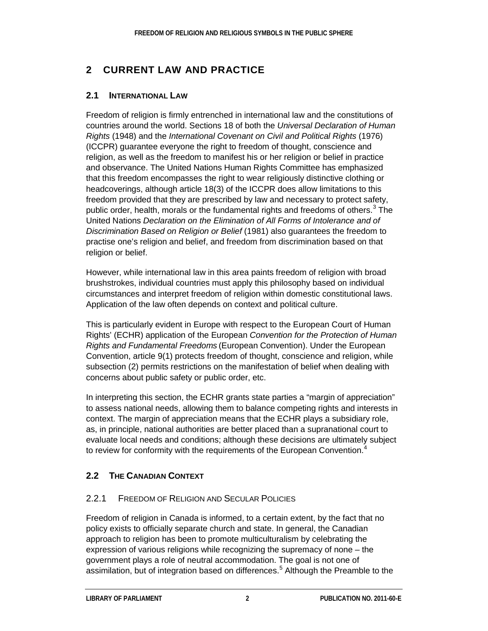# **2 CURRENT LAW AND PRACTICE**

#### **2.1 INTERNATIONAL LAW**

Freedom of religion is firmly entrenched in international law and the constitutions of countries around the world. Sections 18 of both the *Universal Declaration of Human Rights* (1948) and the *International Covenant on Civil and Political Rights* (1976) (ICCPR) guarantee everyone the right to freedom of thought, conscience and religion, as well as the freedom to manifest his or her religion or belief in practice and observance. The United Nations Human Rights Committee has emphasized that this freedom encompasses the right to wear religiously distinctive clothing or headcoverings, although article 18(3) of the ICCPR does allow limitations to this freedom provided that they are prescribed by law and necessary to protect safety, public order, health, morals or the fundamental rights and freedoms of others. $3$  The United Nations *Declaration on the Elimination of All Forms of Intolerance and of Discrimination Based on Religion or Belief* (1981) also guarantees the freedom to practise one's religion and belief, and freedom from discrimination based on that religion or belief.

However, while international law in this area paints freedom of religion with broad brushstrokes, individual countries must apply this philosophy based on individual circumstances and interpret freedom of religion within domestic constitutional laws. Application of the law often depends on context and political culture.

This is particularly evident in Europe with respect to the European Court of Human Rights' (ECHR) application of the European *Convention for the Protection of Human Rights and Fundamental Freedoms* (European Convention). Under the European Convention, article 9(1) protects freedom of thought, conscience and religion, while subsection (2) permits restrictions on the manifestation of belief when dealing with concerns about public safety or public order, etc.

In interpreting this section, the ECHR grants state parties a "margin of appreciation" to assess national needs, allowing them to balance competing rights and interests in context. The margin of appreciation means that the ECHR plays a subsidiary role, as, in principle, national authorities are better placed than a supranational court to evaluate local needs and conditions; although these decisions are ultimately subject to review for conformity with the requirements of the European Convention.<sup>[4](#page-18-3)</sup>

## **2.2 THE CANADIAN CONTEXT**

#### 2.2.1 FREEDOM OF RELIGION AND SECULAR POLICIES

Freedom of religion in Canada is informed, to a certain extent, by the fact that no policy exists to officially separate church and state. In general, the Canadian approach to religion has been to promote multiculturalism by celebrating the expression of various religions while recognizing the supremacy of none – the government plays a role of neutral accommodation. The goal is not one of assimilation, but of integration based on differences.<sup>[5](#page-18-4)</sup> Although the Preamble to the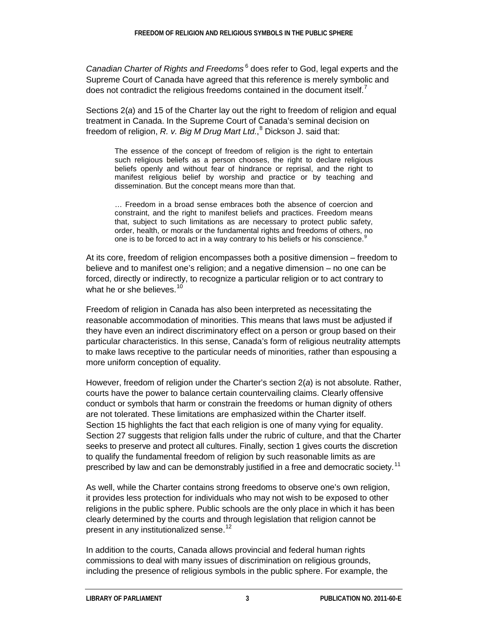*Canadian Charter of Rights and Freedoms* [6](#page-18-5) does refer to God, legal experts and the Supreme Court of Canada have agreed that this reference is merely symbolic and does not contradict the religious freedoms contained in the document itself. $<sup>7</sup>$  $<sup>7</sup>$  $<sup>7</sup>$ </sup>

Sections 2(*a*) and 15 of the Charter lay out the right to freedom of religion and equal treatment in Canada. In the Supreme Court of Canada's seminal decision on freedom of religion, *R. v. Big M Drug Mart Ltd.*, [8](#page-18-7) Dickson J. said that:

The essence of the concept of freedom of religion is the right to entertain such religious beliefs as a person chooses, the right to declare religious beliefs openly and without fear of hindrance or reprisal, and the right to manifest religious belief by worship and practice or by teaching and dissemination. But the concept means more than that.

… Freedom in a broad sense embraces both the absence of coercion and constraint, and the right to manifest beliefs and practices. Freedom means that, subject to such limitations as are necessary to protect public safety, order, health, or morals or the fundamental rights and freedoms of others, no one is to be forced to act in a way contrary to his beliefs or his conscience.<sup>[9](#page-18-8)</sup>

At its core, freedom of religion encompasses both a positive dimension – freedom to believe and to manifest one's religion; and a negative dimension – no one can be forced, directly or indirectly, to recognize a particular religion or to act contrary to what he or she believes. $10<sup>10</sup>$  $10<sup>10</sup>$ 

Freedom of religion in Canada has also been interpreted as necessitating the reasonable accommodation of minorities. This means that laws must be adjusted if they have even an indirect discriminatory effect on a person or group based on their particular characteristics. In this sense, Canada's form of religious neutrality attempts to make laws receptive to the particular needs of minorities, rather than espousing a more uniform conception of equality.

However, freedom of religion under the Charter's section 2(*a*) is not absolute. Rather, courts have the power to balance certain countervailing claims. Clearly offensive conduct or symbols that harm or constrain the freedoms or human dignity of others are not tolerated. These limitations are emphasized within the Charter itself. Section 15 highlights the fact that each religion is one of many vying for equality. Section 27 suggests that religion falls under the rubric of culture, and that the Charter seeks to preserve and protect all cultures. Finally, section 1 gives courts the discretion to qualify the fundamental freedom of religion by such reasonable limits as are prescribed by law and can be demonstrably justified in a free and democratic society.<sup>[11](#page-18-10)</sup>

As well, while the Charter contains strong freedoms to observe one's own religion, it provides less protection for individuals who may not wish to be exposed to other religions in the public sphere. Public schools are the only place in which it has been clearly determined by the courts and through legislation that religion cannot be present in any institutionalized sense.<sup>[12](#page-19-0)</sup>

In addition to the courts, Canada allows provincial and federal human rights commissions to deal with many issues of discrimination on religious grounds, including the presence of religious symbols in the public sphere. For example, the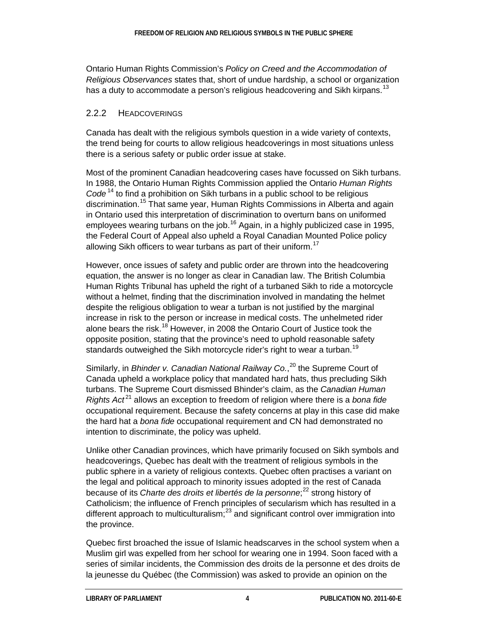Ontario Human Rights Commission's *Policy on Creed and the Accommodation of Religious Observances* states that, short of undue hardship, a school or organization has a duty to accommodate a person's religious headcovering and Sikh kirpans.<sup>[13](#page-19-1)</sup>

#### 2.2.2 HEADCOVERINGS

Canada has dealt with the religious symbols question in a wide variety of contexts, the trend being for courts to allow religious headcoverings in most situations unless there is a serious safety or public order issue at stake.

Most of the prominent Canadian headcovering cases have focussed on Sikh turbans. In 1988, the Ontario Human Rights Commission applied the Ontario *Human Rights Code* [14](#page-19-2) to find a prohibition on Sikh turbans in a public school to be religious discrimination.<sup>[15](#page-19-3)</sup> That same year, Human Rights Commissions in Alberta and again in Ontario used this interpretation of discrimination to overturn bans on uniformed employees wearing turbans on the job.<sup>[16](#page-19-4)</sup> Again, in a highly publicized case in 1995, the Federal Court of Appeal also upheld a Royal Canadian Mounted Police policy allowing Sikh officers to wear turbans as part of their uniform.<sup>[17](#page-19-5)</sup>

However, once issues of safety and public order are thrown into the headcovering equation, the answer is no longer as clear in Canadian law. The British Columbia Human Rights Tribunal has upheld the right of a turbaned Sikh to ride a motorcycle without a helmet, finding that the discrimination involved in mandating the helmet despite the religious obligation to wear a turban is not justified by the marginal increase in risk to the person or increase in medical costs. The unhelmeted rider alone bears the risk.<sup>[18](#page-19-6)</sup> However, in 2008 the Ontario Court of Justice took the opposite position, stating that the province's need to uphold reasonable safety standards outweighed the Sikh motorcycle rider's right to wear a turban.<sup>[19](#page-19-7)</sup>

Similarly, in *Bhinder v. Canadian National Railway Co.*, [20](#page-19-8) the Supreme Court of Canada upheld a workplace policy that mandated hard hats, thus precluding Sikh turbans. The Supreme Court dismissed Bhinder's claim, as the *Canadian Human Rights Act<sup>[21](#page-19-9)</sup>* allows an exception to freedom of religion where there is a *bona fide* occupational requirement. Because the safety concerns at play in this case did make the hard hat a *bona fide* occupational requirement and CN had demonstrated no intention to discriminate, the policy was upheld.

Unlike other Canadian provinces, which have primarily focused on Sikh symbols and headcoverings, Quebec has dealt with the treatment of religious symbols in the public sphere in a variety of religious contexts. Quebec often practises a variant on the legal and political approach to minority issues adopted in the rest of Canada because of its *Charte des droits et libertés de la personne*; [22](#page-19-10) strong history of Catholicism; the influence of French principles of secularism which has resulted in a different approach to multiculturalism; $^{23}$  $^{23}$  $^{23}$  and significant control over immigration into the province.

Quebec first broached the issue of Islamic headscarves in the school system when a Muslim girl was expelled from her school for wearing one in 1994. Soon faced with a series of similar incidents, the Commission des droits de la personne et des droits de la jeunesse du Québec (the Commission) was asked to provide an opinion on the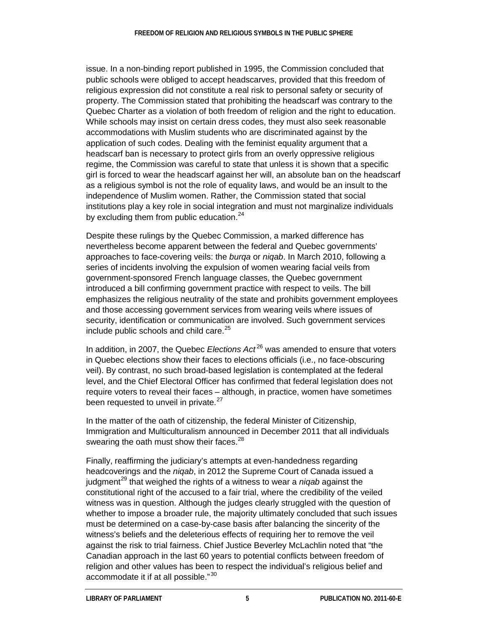issue. In a non-binding report published in 1995, the Commission concluded that public schools were obliged to accept headscarves, provided that this freedom of religious expression did not constitute a real risk to personal safety or security of property. The Commission stated that prohibiting the headscarf was contrary to the Quebec Charter as a violation of both freedom of religion and the right to education. While schools may insist on certain dress codes, they must also seek reasonable accommodations with Muslim students who are discriminated against by the application of such codes. Dealing with the feminist equality argument that a headscarf ban is necessary to protect girls from an overly oppressive religious regime, the Commission was careful to state that unless it is shown that a specific girl is forced to wear the headscarf against her will, an absolute ban on the headscarf as a religious symbol is not the role of equality laws, and would be an insult to the independence of Muslim women. Rather, the Commission stated that social institutions play a key role in social integration and must not marginalize individuals by excluding them from public education. $24$ 

Despite these rulings by the Quebec Commission, a marked difference has nevertheless become apparent between the federal and Quebec governments' approaches to face-covering veils: the *burqa* or *niqab*. In March 2010, following a series of incidents involving the expulsion of women wearing facial veils from government-sponsored French language classes, the Quebec government introduced a bill confirming government practice with respect to veils. The bill emphasizes the religious neutrality of the state and prohibits government employees and those accessing government services from wearing veils where issues of security, identification or communication are involved. Such government services include public schools and child care.<sup>[25](#page-19-13)</sup>

In addition, in 2007, the Quebec *Elections Act*<sup>[26](#page-19-14)</sup> was amended to ensure that voters in Quebec elections show their faces to elections officials (i.e., no face-obscuring veil). By contrast, no such broad-based legislation is contemplated at the federal level, and the Chief Electoral Officer has confirmed that federal legislation does not require voters to reveal their faces – although, in practice, women have sometimes been requested to unveil in private. $27$ 

In the matter of the oath of citizenship, the federal Minister of Citizenship, Immigration and Multiculturalism announced in December 2011 that all individuals swearing the oath must show their faces. $^{28}$  $^{28}$  $^{28}$ 

Finally, reaffirming the judiciary's attempts at even-handedness regarding headcoverings and the *niqab*, in 2012 the Supreme Court of Canada issued a judgment<sup>[29](#page-19-17)</sup> that weighed the rights of a witness to wear a *niqab* against the constitutional right of the accused to a fair trial, where the credibility of the veiled witness was in question. Although the judges clearly struggled with the question of whether to impose a broader rule, the majority ultimately concluded that such issues must be determined on a case-by-case basis after balancing the sincerity of the witness's beliefs and the deleterious effects of requiring her to remove the veil against the risk to trial fairness. Chief Justice Beverley McLachlin noted that "the Canadian approach in the last 60 years to potential conflicts between freedom of religion and other values has been to respect the individual's religious belief and accommodate it if at all possible." [30](#page-19-18)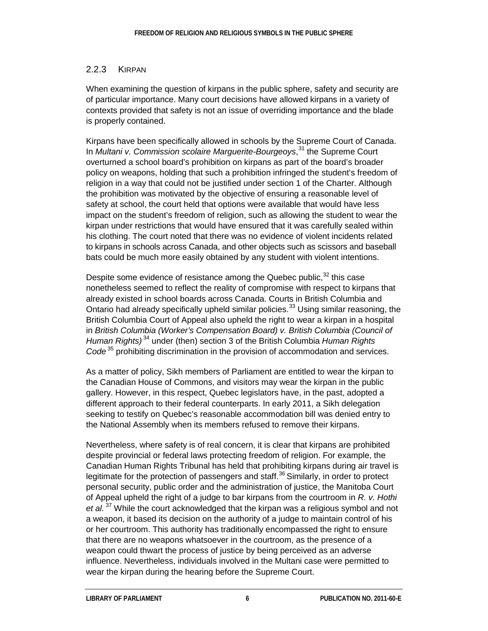#### 2.2.3 KIRPAN

When examining the question of kirpans in the public sphere, safety and security are of particular importance. Many court decisions have allowed kirpans in a variety of contexts provided that safety is not an issue of overriding importance and the blade is properly contained.

Kirpans have been specifically allowed in schools by the Supreme Court of Canada. In *Multani v. Commission scolaire Marguerite-Bourgeoys*, [31](#page-19-19) the Supreme Court overturned a school board's prohibition on kirpans as part of the board's broader policy on weapons, holding that such a prohibition infringed the student's freedom of religion in a way that could not be justified under section 1 of the Charter. Although the prohibition was motivated by the objective of ensuring a reasonable level of safety at school, the court held that options were available that would have less impact on the student's freedom of religion, such as allowing the student to wear the kirpan under restrictions that would have ensured that it was carefully sealed within his clothing. The court noted that there was no evidence of violent incidents related to kirpans in schools across Canada, and other objects such as scissors and baseball bats could be much more easily obtained by any student with violent intentions.

Despite some evidence of resistance among the Quebec public, $32$  this case nonetheless seemed to reflect the reality of compromise with respect to kirpans that already existed in school boards across Canada. Courts in British Columbia and Ontario had already specifically upheld similar policies.<sup>[33](#page-19-21)</sup> Using similar reasoning, the British Columbia Court of Appeal also upheld the right to wear a kirpan in a hospital in *British Columbia (Worker's Compensation Board) v. British Columbia (Council of Human Rights)* [34](#page-20-0) under (then) section 3 of the British Columbia *Human Rights Code* [35](#page-20-1) prohibiting discrimination in the provision of accommodation and services.

As a matter of policy, Sikh members of Parliament are entitled to wear the kirpan to the Canadian House of Commons, and visitors may wear the kirpan in the public gallery. However, in this respect, Quebec legislators have, in the past, adopted a different approach to their federal counterparts. In early 2011, a Sikh delegation seeking to testify on Quebec's reasonable accommodation bill was denied entry to the National Assembly when its members refused to remove their kirpans.

Nevertheless, where safety is of real concern, it is clear that kirpans are prohibited despite provincial or federal laws protecting freedom of religion. For example, the Canadian Human Rights Tribunal has held that prohibiting kirpans during air travel is legitimate for the protection of passengers and staff.<sup>[36](#page-20-2)</sup> Similarly, in order to protect personal security, public order and the administration of justice, the Manitoba Court of Appeal upheld the right of a judge to bar kirpans from the courtroom in *R. v. Hothi et al.* [37](#page-20-3) While the court acknowledged that the kirpan was a religious symbol and not a weapon, it based its decision on the authority of a judge to maintain control of his or her courtroom. This authority has traditionally encompassed the right to ensure that there are no weapons whatsoever in the courtroom, as the presence of a weapon could thwart the process of justice by being perceived as an adverse influence. Nevertheless, individuals involved in the Multani case were permitted to wear the kirpan during the hearing before the Supreme Court.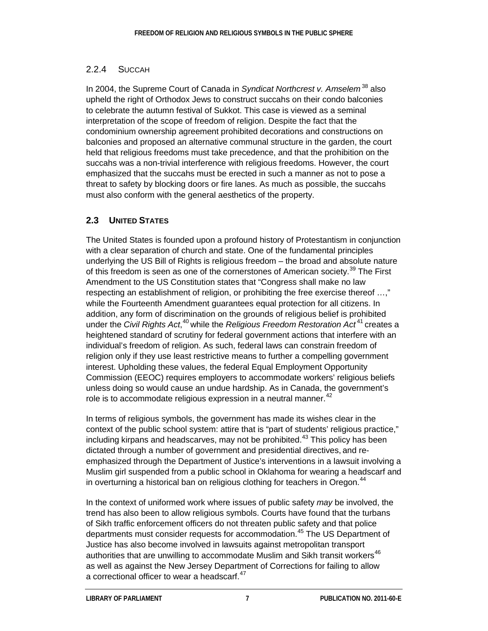### 2.2.4 SUCCAH

In 2004, the Supreme Court of Canada in *Syndicat Northcrest v. Amselem* [38](#page-20-4) also upheld the right of Orthodox Jews to construct succahs on their condo balconies to celebrate the autumn festival of Sukkot. This case is viewed as a seminal interpretation of the scope of freedom of religion. Despite the fact that the condominium ownership agreement prohibited decorations and constructions on balconies and proposed an alternative communal structure in the garden, the court held that religious freedoms must take precedence, and that the prohibition on the succahs was a non-trivial interference with religious freedoms. However, the court emphasized that the succahs must be erected in such a manner as not to pose a threat to safety by blocking doors or fire lanes. As much as possible, the succahs must also conform with the general aesthetics of the property.

## **2.3 UNITED STATES**

The United States is founded upon a profound history of Protestantism in conjunction with a clear separation of church and state. One of the fundamental principles underlying the US Bill of Rights is religious freedom – the broad and absolute nature of this freedom is seen as one of the cornerstones of American society.<sup>[39](#page-20-5)</sup> The First Amendment to the US Constitution states that "Congress shall make no law respecting an establishment of religion, or prohibiting the free exercise thereof …," while the Fourteenth Amendment guarantees equal protection for all citizens. In addition, any form of discrimination on the grounds of religious belief is prohibited under the *Civil Rights Act*,<sup>[40](#page-20-6)</sup> while the *Religious Freedom Restoration Act*<sup>[41](#page-20-7)</sup> creates a heightened standard of scrutiny for federal government actions that interfere with an individual's freedom of religion. As such, federal laws can constrain freedom of religion only if they use least restrictive means to further a compelling government interest. Upholding these values, the federal Equal Employment Opportunity Commission (EEOC) requires employers to accommodate workers' religious beliefs unless doing so would cause an undue hardship. As in Canada, the government's role is to accommodate religious expression in a neutral manner. $42$ 

In terms of religious symbols, the government has made its wishes clear in the context of the public school system: attire that is "part of students' religious practice," including kirpans and headscarves, may not be prohibited.<sup>[43](#page-20-9)</sup> This policy has been dictated through a number of government and presidential directives, and reemphasized through the Department of Justice's interventions in a lawsuit involving a Muslim girl suspended from a public school in Oklahoma for wearing a headscarf and in overturning a historical ban on religious clothing for teachers in Oregon.<sup>[44](#page-20-10)</sup>

In the context of uniformed work where issues of public safety *may* be involved, the trend has also been to allow religious symbols. Courts have found that the turbans of Sikh traffic enforcement officers do not threaten public safety and that police departments must consider requests for accommodation.<sup>[45](#page-20-11)</sup> The US Department of Justice has also become involved in lawsuits against metropolitan transport authorities that are unwilling to accommodate Muslim and Sikh transit workers<sup>[46](#page-20-12)</sup> as well as against the New Jersey Department of Corrections for failing to allow a correctional officer to wear a headscarf.<sup>[47](#page-20-13)</sup>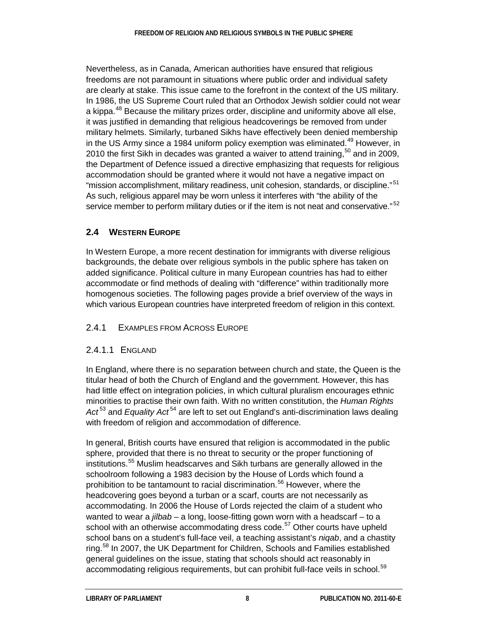Nevertheless, as in Canada, American authorities have ensured that religious freedoms are not paramount in situations where public order and individual safety are clearly at stake. This issue came to the forefront in the context of the US military. In 1986, the US Supreme Court ruled that an Orthodox Jewish soldier could not wear a kippa.<sup>[48](#page-20-14)</sup> Because the military prizes order, discipline and uniformity above all else, it was justified in demanding that religious headcoverings be removed from under military helmets. Similarly, turbaned Sikhs have effectively been denied membership in the US Army since a 1984 uniform policy exemption was eliminated.<sup>[49](#page-20-15)</sup> However, in 2010 the first Sikh in decades was granted a waiver to attend training,  $50$  and in 2009, the Department of Defence issued a directive emphasizing that requests for religious accommodation should be granted where it would not have a negative impact on "mission accomplishment, military readiness, unit cohesion, standards, or discipline." [51](#page-20-17) As such, religious apparel may be worn unless it interferes with "the ability of the service member to perform military duties or if the item is not neat and conservative."<sup>[52](#page-20-18)</sup>

## **2.4 WESTERN EUROPE**

In Western Europe, a more recent destination for immigrants with diverse religious backgrounds, the debate over religious symbols in the public sphere has taken on added significance. Political culture in many European countries has had to either accommodate or find methods of dealing with "difference" within traditionally more homogenous societies. The following pages provide a brief overview of the ways in which various European countries have interpreted freedom of religion in this context.

#### 2.4.1 EXAMPLES FROM ACROSS EUROPE

#### 2.4.1.1 ENGLAND

In England, where there is no separation between church and state, the Queen is the titular head of both the Church of England and the government. However, this has had little effect on integration policies, in which cultural pluralism encourages ethnic minorities to practise their own faith. With no written constitution, the *Human Rights*  Act<sup>[53](#page-20-19)</sup> and *Equality Act*<sup>[54](#page-20-20)</sup> are left to set out England's anti-discrimination laws dealing with freedom of religion and accommodation of difference.

In general, British courts have ensured that religion is accommodated in the public sphere, provided that there is no threat to security or the proper functioning of institutions.<sup>[55](#page-20-21)</sup> Muslim headscarves and Sikh turbans are generally allowed in the schoolroom following a 1983 decision by the House of Lords which found a prohibition to be tantamount to racial discrimination.<sup>[56](#page-20-22)</sup> However, where the headcovering goes beyond a turban or a scarf, courts are not necessarily as accommodating. In 2006 the House of Lords rejected the claim of a student who wanted to wear a *jilbab* – a long, loose-fitting gown worn with a headscarf – to a school with an otherwise accommodating dress code.<sup>[57](#page-21-0)</sup> Other courts have upheld school bans on a student's full-face veil, a teaching assistant's *niqab*, and a chastity ring.<sup>[58](#page-21-1)</sup> In 2007, the UK Department for Children, Schools and Families established general guidelines on the issue, stating that schools should act reasonably in accommodating religious requirements, but can prohibit full-face veils in school.<sup>[59](#page-21-2)</sup>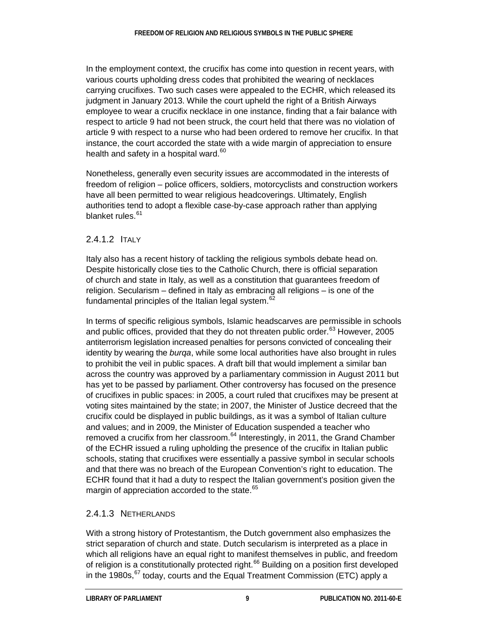In the employment context, the crucifix has come into question in recent years, with various courts upholding dress codes that prohibited the wearing of necklaces carrying crucifixes. Two such cases were appealed to the ECHR, which released its judgment in January 2013. While the court upheld the right of a British Airways employee to wear a crucifix necklace in one instance, finding that a fair balance with respect to article 9 had not been struck, the court held that there was no violation of article 9 with respect to a nurse who had been ordered to remove her crucifix. In that instance, the court accorded the state with a wide margin of appreciation to ensure health and safety in a hospital ward. $60$ 

Nonetheless, generally even security issues are accommodated in the interests of freedom of religion – police officers, soldiers, motorcyclists and construction workers have all been permitted to wear religious headcoverings. Ultimately, English authorities tend to adopt a flexible case-by-case approach rather than applying blanket rules.<sup>[61](#page-21-4)</sup>

#### 2.4.1.2 ITALY

Italy also has a recent history of tackling the religious symbols debate head on. Despite historically close ties to the Catholic Church, there is official separation of church and state in Italy, as well as a constitution that guarantees freedom of religion. Secularism – defined in Italy as embracing all religions – is one of the fundamental principles of the Italian legal system.<sup>[62](#page-21-5)</sup>

In terms of specific religious symbols, Islamic headscarves are permissible in schools and public offices, provided that they do not threaten public order.<sup>[63](#page-21-6)</sup> However, 2005 antiterrorism legislation increased penalties for persons convicted of concealing their identity by wearing the *burqa*, while some local authorities have also brought in rules to prohibit the veil in public spaces. A draft bill that would implement a similar ban across the country was approved by a parliamentary commission in August 2011 but has yet to be passed by parliament. Other controversy has focused on the presence of crucifixes in public spaces: in 2005, a court ruled that crucifixes may be present at voting sites maintained by the state; in 2007, the Minister of Justice decreed that the crucifix could be displayed in public buildings, as it was a symbol of Italian culture and values; and in 2009, the Minister of Education suspended a teacher who removed a crucifix from her classroom. $64$  Interestingly, in 2011, the Grand Chamber of the ECHR issued a ruling upholding the presence of the crucifix in Italian public schools, stating that crucifixes were essentially a passive symbol in secular schools and that there was no breach of the European Convention's right to education. The ECHR found that it had a duty to respect the Italian government's position given the margin of appreciation accorded to the state.<sup>[65](#page-21-8)</sup>

#### 2.4.1.3 NETHERLANDS

With a strong history of Protestantism, the Dutch government also emphasizes the strict separation of church and state. Dutch secularism is interpreted as a place in which all religions have an equal right to manifest themselves in public, and freedom of religion is a constitutionally protected right.<sup>[66](#page-21-9)</sup> Building on a position first developed in the 1980s.<sup>[67](#page-21-10)</sup> today, courts and the Equal Treatment Commission (ETC) apply a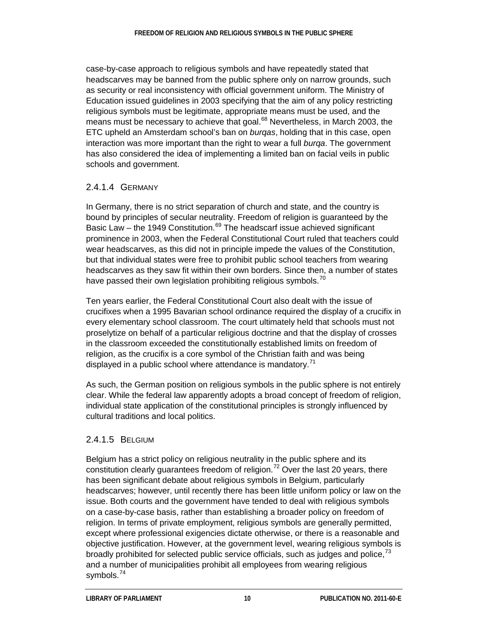case-by-case approach to religious symbols and have repeatedly stated that headscarves may be banned from the public sphere only on narrow grounds, such as security or real inconsistency with official government uniform. The Ministry of Education issued guidelines in 2003 specifying that the aim of any policy restricting religious symbols must be legitimate, appropriate means must be used, and the means must be necessary to achieve that goal.<sup>[68](#page-21-11)</sup> Nevertheless, in March 2003, the ETC upheld an Amsterdam school's ban on *burqas*, holding that in this case, open interaction was more important than the right to wear a full *burqa*. The government has also considered the idea of implementing a limited ban on facial veils in public schools and government.

#### 2.4.1.4 GERMANY

In Germany, there is no strict separation of church and state, and the country is bound by principles of secular neutrality. Freedom of religion is guaranteed by the Basic Law – the 1949 Constitution.<sup>[69](#page-21-12)</sup> The headscarf issue achieved significant prominence in 2003, when the Federal Constitutional Court ruled that teachers could wear headscarves, as this did not in principle impede the values of the Constitution, but that individual states were free to prohibit public school teachers from wearing headscarves as they saw fit within their own borders. Since then, a number of states have passed their own legislation prohibiting religious symbols.<sup>[70](#page-21-13)</sup>

Ten years earlier, the Federal Constitutional Court also dealt with the issue of crucifixes when a 1995 Bavarian school ordinance required the display of a crucifix in every elementary school classroom. The court ultimately held that schools must not proselytize on behalf of a particular religious doctrine and that the display of crosses in the classroom exceeded the constitutionally established limits on freedom of religion, as the crucifix is a core symbol of the Christian faith and was being displayed in a public school where attendance is mandatory.<sup>[71](#page-21-14)</sup>

As such, the German position on religious symbols in the public sphere is not entirely clear. While the federal law apparently adopts a broad concept of freedom of religion, individual state application of the constitutional principles is strongly influenced by cultural traditions and local politics.

#### 2.4.1.5 BELGIUM

Belgium has a strict policy on religious neutrality in the public sphere and its constitution clearly guarantees freedom of religion.<sup>[72](#page-21-15)</sup> Over the last 20 years, there has been significant debate about religious symbols in Belgium, particularly headscarves; however, until recently there has been little uniform policy or law on the issue. Both courts and the government have tended to deal with religious symbols on a case-by-case basis, rather than establishing a broader policy on freedom of religion. In terms of private employment, religious symbols are generally permitted, except where professional exigencies dictate otherwise, or there is a reasonable and objective justification. However, at the government level, wearing religious symbols is broadly prohibited for selected public service officials, such as judges and police,  $^{73}$  $^{73}$  $^{73}$ and a number of municipalities prohibit all employees from wearing religious symbols.<sup>[74](#page-22-0)</sup>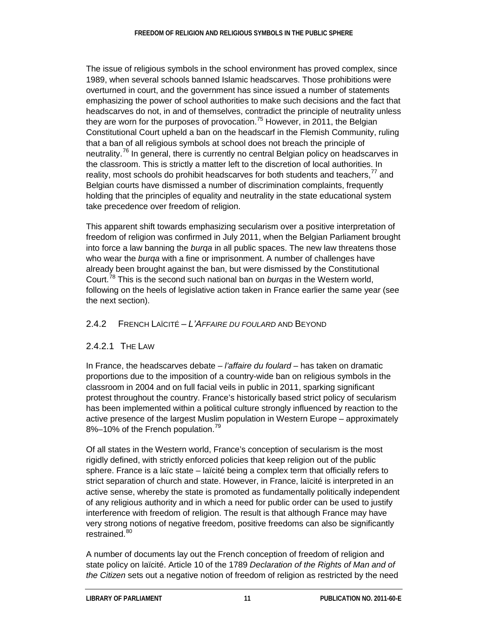The issue of religious symbols in the school environment has proved complex, since 1989, when several schools banned Islamic headscarves. Those prohibitions were overturned in court, and the government has since issued a number of statements emphasizing the power of school authorities to make such decisions and the fact that headscarves do not, in and of themselves, contradict the principle of neutrality unless they are worn for the purposes of provocation.<sup>[75](#page-22-1)</sup> However, in 2011, the Belgian Constitutional Court upheld a ban on the headscarf in the Flemish Community, ruling that a ban of all religious symbols at school does not breach the principle of neutrality.<sup>[76](#page-22-2)</sup> In general, there is currently no central Belgian policy on headscarves in the classroom. This is strictly a matter left to the discretion of local authorities. In reality, most schools do prohibit headscarves for both students and teachers, $^{77}$  $^{77}$  $^{77}$  and Belgian courts have dismissed a number of discrimination complaints, frequently holding that the principles of equality and neutrality in the state educational system take precedence over freedom of religion.

This apparent shift towards emphasizing secularism over a positive interpretation of freedom of religion was confirmed in July 2011, when the Belgian Parliament brought into force a law banning the *burqa* in all public spaces. The new law threatens those who wear the *burqa* with a fine or imprisonment. A number of challenges have already been brought against the ban, but were dismissed by the Constitutional Court.[78](#page-22-4) This is the second such national ban on *burqas* in the Western world, following on the heels of legislative action taken in France earlier the same year (see the next section).

#### 2.4.2 FRENCH LAÏCITÉ – *L'AFFAIRE DU FOULARD* AND BEYOND

#### 2.4.2.1 THE LAW

In France, the headscarves debate – *l'affaire du foulard* – has taken on dramatic proportions due to the imposition of a country-wide ban on religious symbols in the classroom in 2004 and on full facial veils in public in 2011, sparking significant protest throughout the country. France's historically based strict policy of secularism has been implemented within a political culture strongly influenced by reaction to the active presence of the largest Muslim population in Western Europe – approximately 8%–10% of the French population.<sup>[79](#page-22-5)</sup>

Of all states in the Western world, France's conception of secularism is the most rigidly defined, with strictly enforced policies that keep religion out of the public sphere. France is a laïc state – laïcité being a complex term that officially refers to strict separation of church and state. However, in France, laïcité is interpreted in an active sense, whereby the state is promoted as fundamentally politically independent of any religious authority and in which a need for public order can be used to justify interference with freedom of religion. The result is that although France may have very strong notions of negative freedom, positive freedoms can also be significantly restrained.<sup>[80](#page-22-6)</sup>

A number of documents lay out the French conception of freedom of religion and state policy on laïcité. Article 10 of the 1789 *Declaration of the Rights of Man and of the Citizen* sets out a negative notion of freedom of religion as restricted by the need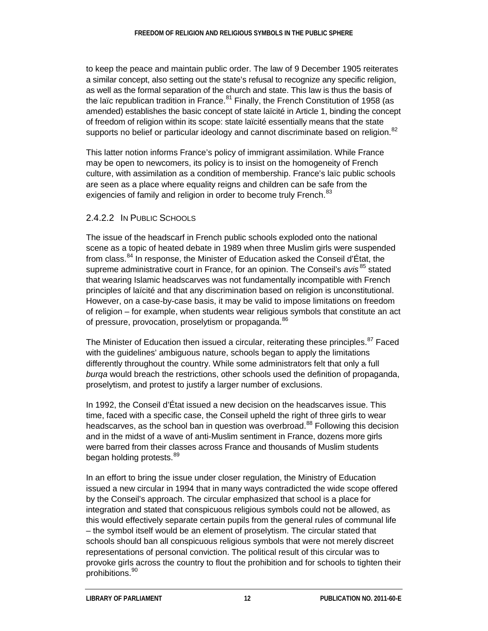to keep the peace and maintain public order. The law of 9 December 1905 reiterates a similar concept, also setting out the state's refusal to recognize any specific religion, as well as the formal separation of the church and state. This law is thus the basis of the laïc republican tradition in France. $81$  Finally, the French Constitution of 1958 (as amended) establishes the basic concept of state laïcité in Article 1, binding the concept of freedom of religion within its scope: state laïcité essentially means that the state supports no belief or particular ideology and cannot discriminate based on religion.<sup>[82](#page-22-8)</sup>

This latter notion informs France's policy of immigrant assimilation. While France may be open to newcomers, its policy is to insist on the homogeneity of French culture, with assimilation as a condition of membership. France's laïc public schools are seen as a place where equality reigns and children can be safe from the exigencies of family and religion in order to become truly French.<sup>[83](#page-22-9)</sup>

#### 2.4.2.2 IN PUBLIC SCHOOLS

The issue of the headscarf in French public schools exploded onto the national scene as a topic of heated debate in 1989 when three Muslim girls were suspended from class.<sup>[84](#page-22-10)</sup> In response, the Minister of Education asked the Conseil d'État, the supreme administrative court in France, for an opinion. The Conseil's *avis* <sup>[85](#page-22-11)</sup> stated that wearing Islamic headscarves was not fundamentally incompatible with French principles of laïcité and that any discrimination based on religion is unconstitutional. However, on a case-by-case basis, it may be valid to impose limitations on freedom of religion – for example, when students wear religious symbols that constitute an act of pressure, provocation, proselytism or propaganda.<sup>[86](#page-22-12)</sup>

The Minister of Education then issued a circular, reiterating these principles.<sup>[87](#page-22-13)</sup> Faced with the guidelines' ambiguous nature, schools began to apply the limitations differently throughout the country. While some administrators felt that only a full *burqa* would breach the restrictions, other schools used the definition of propaganda, proselytism, and protest to justify a larger number of exclusions.

In 1992, the Conseil d'État issued a new decision on the headscarves issue. This time, faced with a specific case, the Conseil upheld the right of three girls to wear headscarves, as the school ban in question was overbroad.<sup>[88](#page-22-14)</sup> Following this decision and in the midst of a wave of anti-Muslim sentiment in France, dozens more girls were barred from their classes across France and thousands of Muslim students began holding protests.<sup>[89](#page-22-15)</sup>

In an effort to bring the issue under closer regulation, the Ministry of Education issued a new circular in 1994 that in many ways contradicted the wide scope offered by the Conseil's approach. The circular emphasized that school is a place for integration and stated that conspicuous religious symbols could not be allowed, as this would effectively separate certain pupils from the general rules of communal life – the symbol itself would be an element of proselytism. The circular stated that schools should ban all conspicuous religious symbols that were not merely discreet representations of personal conviction. The political result of this circular was to provoke girls across the country to flout the prohibition and for schools to tighten their prohibitions.[90](#page-22-16)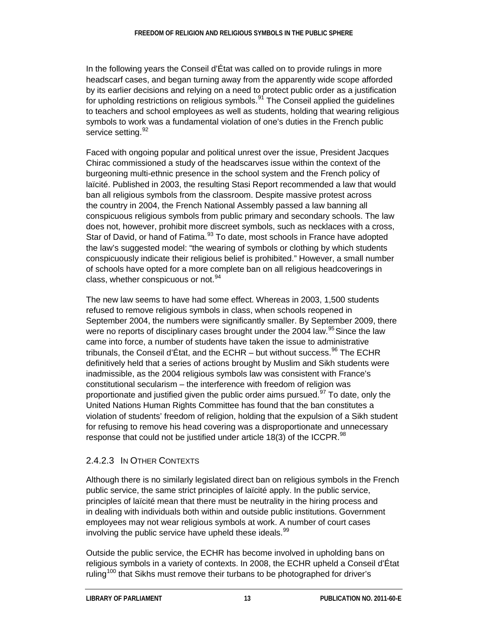In the following years the Conseil d'État was called on to provide rulings in more headscarf cases, and began turning away from the apparently wide scope afforded by its earlier decisions and relying on a need to protect public order as a justification for upholding restrictions on religious symbols. $91$  The Conseil applied the guidelines to teachers and school employees as well as students, holding that wearing religious symbols to work was a fundamental violation of one's duties in the French public service setting. [92](#page-23-1)

Faced with ongoing popular and political unrest over the issue, President Jacques Chirac commissioned a study of the headscarves issue within the context of the burgeoning multi-ethnic presence in the school system and the French policy of laïcité. Published in 2003, the resulting Stasi Report recommended a law that would ban all religious symbols from the classroom. Despite massive protest across the country in 2004, the French National Assembly passed a law banning all conspicuous religious symbols from public primary and secondary schools. The law does not, however, prohibit more discreet symbols, such as necklaces with a cross, Star of David, or hand of Fatima.<sup>[93](#page-23-2)</sup> To date, most schools in France have adopted the law's suggested model: "the wearing of symbols or clothing by which students conspicuously indicate their religious belief is prohibited." However, a small number of schools have opted for a more complete ban on all religious headcoverings in class, whether conspicuous or not.<sup>[94](#page-23-3)</sup>

The new law seems to have had some effect. Whereas in 2003, 1,500 students refused to remove religious symbols in class, when schools reopened in September 2004, the numbers were significantly smaller. By September 2009, there were no reports of disciplinary cases brought under the 2004 law.<sup>[95](#page-23-4)</sup> Since the law came into force, a number of students have taken the issue to administrative tribunals, the Conseil d'État, and the ECHR – but without success.  $96$  The ECHR definitively held that a series of actions brought by Muslim and Sikh students were inadmissible, as the 2004 religious symbols law was consistent with France's constitutional secularism – the interference with freedom of religion was proportionate and justified given the public order aims pursued.<sup>[97](#page-23-6)</sup> To date, only the United Nations Human Rights Committee has found that the ban constitutes a violation of students' freedom of religion, holding that the expulsion of a Sikh student for refusing to remove his head covering was a disproportionate and unnecessary response that could not be justified under article 18(3) of the ICCPR.  $98$ 

## 2.4.2.3 IN OTHER CONTEXTS

Although there is no similarly legislated direct ban on religious symbols in the French public service, the same strict principles of laïcité apply. In the public service, principles of laïcité mean that there must be neutrality in the hiring process and in dealing with individuals both within and outside public institutions. Government employees may not wear religious symbols at work. A number of court cases involving the public service have upheld these ideals.<sup>[99](#page-23-8)</sup>

Outside the public service, the ECHR has become involved in upholding bans on religious symbols in a variety of contexts. In 2008, the ECHR upheld a Conseil d'État ruling<sup>[100](#page-23-9)</sup> that Sikhs must remove their turbans to be photographed for driver's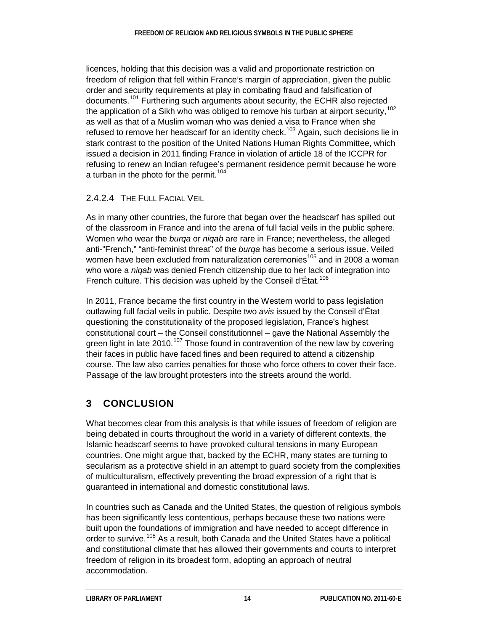licences, holding that this decision was a valid and proportionate restriction on freedom of religion that fell within France's margin of appreciation, given the public order and security requirements at play in combating fraud and falsification of documents.<sup>[101](#page-23-10)</sup> Furthering such arguments about security, the ECHR also rejected the application of a Sikh who was obliged to remove his turban at airport security,  $102$ as well as that of a Muslim woman who was denied a visa to France when she refused to remove her headscarf for an identity check.<sup>[103](#page-23-12)</sup> Again, such decisions lie in stark contrast to the position of the United Nations Human Rights Committee, which issued a decision in 2011 finding France in violation of article 18 of the ICCPR for refusing to renew an Indian refugee's permanent residence permit because he wore a turban in the photo for the permit.<sup>[104](#page-23-13)</sup>

#### 2.4.2.4 THE FULL FACIAL VEIL

As in many other countries, the furore that began over the headscarf has spilled out of the classroom in France and into the arena of full facial veils in the public sphere. Women who wear the *burqa* or *niqab* are rare in France; nevertheless, the alleged anti-"French," "anti-feminist threat" of the *burqa* has become a serious issue. Veiled women have been excluded from naturalization ceremonies<sup>[105](#page-23-14)</sup> and in 2008 a woman who wore a *niqab* was denied French citizenship due to her lack of integration into French culture. This decision was upheld by the Conseil d'État.<sup>[106](#page-23-15)</sup>

In 2011, France became the first country in the Western world to pass legislation outlawing full facial veils in public. Despite two *avis* issued by the Conseil d'État questioning the constitutionality of the proposed legislation, France's highest constitutional court – the Conseil constitutionnel – gave the National Assembly the green light in late 2010.<sup>[107](#page-23-16)</sup> Those found in contravention of the new law by covering their faces in public have faced fines and been required to attend a citizenship course. The law also carries penalties for those who force others to cover their face. Passage of the law brought protesters into the streets around the world.

# **3 CONCLUSION**

What becomes clear from this analysis is that while issues of freedom of religion are being debated in courts throughout the world in a variety of different contexts, the Islamic headscarf seems to have provoked cultural tensions in many European countries. One might argue that, backed by the ECHR, many states are turning to secularism as a protective shield in an attempt to guard society from the complexities of multiculturalism, effectively preventing the broad expression of a right that is guaranteed in international and domestic constitutional laws.

In countries such as Canada and the United States, the question of religious symbols has been significantly less contentious, perhaps because these two nations were built upon the foundations of immigration and have needed to accept difference in order to survive.<sup>[108](#page-23-17)</sup> As a result, both Canada and the United States have a political and constitutional climate that has allowed their governments and courts to interpret freedom of religion in its broadest form, adopting an approach of neutral accommodation.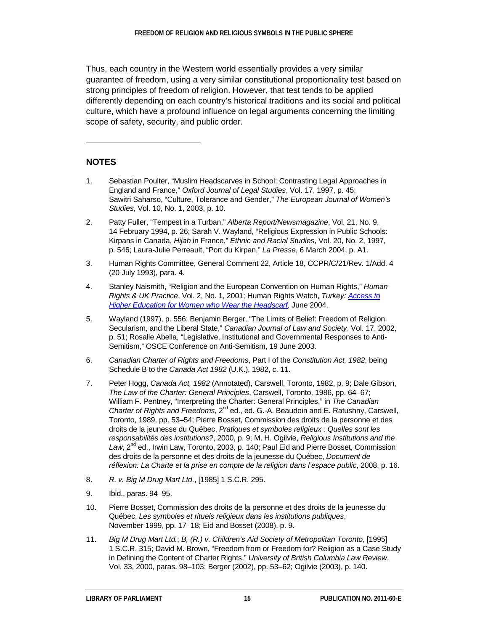Thus, each country in the Western world essentially provides a very similar guarantee of freedom, using a very similar constitutional proportionality test based on strong principles of freedom of religion. However, that test tends to be applied differently depending on each country's historical traditions and its social and political culture, which have a profound influence on legal arguments concerning the limiting scope of safety, security, and public order.

#### **NOTES**

l

- <span id="page-18-0"></span>1. Sebastian Poulter, "Muslim Headscarves in School: Contrasting Legal Approaches in England and France," *Oxford Journal of Legal Studies*, Vol. 17, 1997, p. 45; Sawitri Saharso, "Culture, Tolerance and Gender," *The European Journal of Women's Studies*, Vol. 10, No. 1, 2003, p. 10.
- <span id="page-18-1"></span>2. Patty Fuller, "Tempest in a Turban," *Alberta Report/Newsmagazine*, Vol. 21, No. 9, 14 February 1994, p. 26; Sarah V. Wayland, "Religious Expression in Public Schools: Kirpans in Canada, *Hijab* in France," *Ethnic and Racial Studies*, Vol. 20, No. 2, 1997, p. 546; Laura-Julie Perreault, "Port du Kirpan," *La Presse*, 6 March 2004, p. A1.
- <span id="page-18-2"></span>3. Human Rights Committee, General Comment 22, Article 18, CCPR/C/21/Rev. 1/Add. 4 (20 July 1993), para. 4.
- <span id="page-18-3"></span>4. Stanley Naismith, "Religion and the European Convention on Human Rights," *Human Rights & UK Practice*, Vol. 2, No. 1, 2001; Human Rights Watch, *Turkey: [Access to](http://www.hrw.org/legacy/backgrounder/eca/turkey/2004/6.htm)  [Higher Education for Women who Wear the Headscarf](http://www.hrw.org/legacy/backgrounder/eca/turkey/2004/6.htm)*, June 2004.
- <span id="page-18-4"></span>5. Wayland (1997), p. 556; Benjamin Berger, "The Limits of Belief: Freedom of Religion, Secularism, and the Liberal State," *Canadian Journal of Law and Society*, Vol. 17, 2002, p. 51; Rosalie Abella, "Legislative, Institutional and Governmental Responses to Anti-Semitism," OSCE Conference on Anti-Semitism, 19 June 2003.
- <span id="page-18-5"></span>6. *Canadian Charter of Rights and Freedoms*, Part I of the *Constitution Act, 1982*, being Schedule B to the *Canada Act 1982* (U.K.), 1982, c. 11.
- <span id="page-18-6"></span>7. Peter Hogg, *Canada Act, 1982* (Annotated), Carswell, Toronto, 1982, p. 9; Dale Gibson, *The Law of the Charter: General Principles*, Carswell, Toronto, 1986, pp. 64–67; William F. Pentney, "Interpreting the Charter: General Principles," in *The Canadian Charter of Rights and Freedoms*, 2<sup>nd</sup> ed., ed. G.-A. Beaudoin and E. Ratushny, Carswell, Toronto, 1989, pp. 53–54; Pierre Bosset, Commission des droits de la personne et des droits de la jeunesse du Québec, *Pratiques et symboles religieux : Quelles sont les responsabilités des institutions?*, 2000, p. 9; M. H. Ogilvie, *Religious Institutions and the*  Law, 2<sup>nd</sup> ed., Irwin Law, Toronto, 2003, p. 140; Paul Eid and Pierre Bosset, Commission des droits de la personne et des droits de la jeunesse du Québec, *Document de réflexion: La Charte et la prise en compte de la religion dans l'espace public*, 2008, p. 16.
- <span id="page-18-7"></span>8. *R. v. Big M Drug Mart Ltd.*, [1985] 1 S.C.R. 295.
- <span id="page-18-8"></span>9. Ibid., paras. 94–95.
- <span id="page-18-9"></span>10. Pierre Bosset, Commission des droits de la personne et des droits de la jeunesse du Québec, *Les symboles et rituels religieux dans les institutions publiques*, November 1999, pp. 17–18; Eid and Bosset (2008), p. 9.
- <span id="page-18-10"></span>11. *Big M Drug Mart Ltd.*; *B, (R.) v. Children's Aid Society of Metropolitan Toronto*, [1995] 1 S.C.R. 315; David M. Brown, "Freedom from or Freedom for? Religion as a Case Study in Defining the Content of Charter Rights," *University of British Columbia Law Review*, Vol. 33, 2000, paras. 98–103; Berger (2002), pp. 53–62; Ogilvie (2003), p. 140.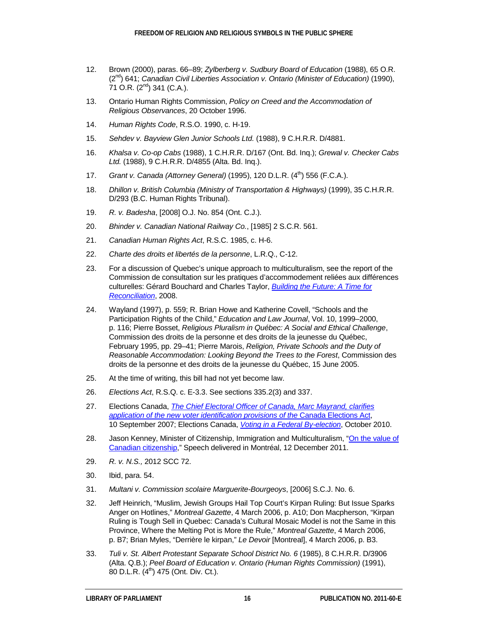- <span id="page-19-0"></span>12. Brown (2000), paras. 66–89; *Zylberberg v. Sudbury Board of Education* (1988), 65 O.R. (2nd) 641; *Canadian Civil Liberties Association v. Ontario (Minister of Education)* (1990),  $71$  O.R.  $(2^{nd})$  341 (C.A.).
- <span id="page-19-1"></span>13. Ontario Human Rights Commission, *Policy on Creed and the Accommodation of Religious Observances*, 20 October 1996.
- <span id="page-19-2"></span>14. *Human Rights Code*, R.S.O. 1990, c. H-19.
- <span id="page-19-3"></span>15. *Sehdev v. Bayview Glen Junior Schools Ltd.* (1988), 9 C.H.R.R. D/4881.
- <span id="page-19-4"></span>16. *Khalsa v. Co-op Cabs* (1988), 1 C.H.R.R. D/167 (Ont. Bd. Inq.); *Grewal v. Checker Cabs Ltd.* (1988), 9 C.H.R.R. D/4855 (Alta. Bd. Inq.).
- <span id="page-19-5"></span>17. *Grant v. Canada (Attorney General)* (1995), 120 D.L.R. (4th) 556 (F.C.A.).
- <span id="page-19-6"></span>18. *Dhillon v. British Columbia (Ministry of Transportation & Highways)* (1999), 35 C.H.R.R. D/293 (B.C. Human Rights Tribunal).
- <span id="page-19-7"></span>19. *R. v. Badesha*, [2008] O.J. No. 854 (Ont. C.J.).
- <span id="page-19-8"></span>20. *Bhinder v. Canadian National Railway Co.*, [1985] 2 S.C.R. 561.
- <span id="page-19-9"></span>21. *Canadian Human Rights Act*, R.S.C. 1985, c. H-6.
- <span id="page-19-10"></span>22. *Charte des droits et libertés de la personne*, L.R.Q., C-12.
- <span id="page-19-11"></span>23. For a discussion of Quebec's unique approach to multiculturalism, see the report of the Commission de consultation sur les pratiques d'accommodement reliées aux différences culturelles: Gérard Bouchard and Charles Taylor, *[Building the Future: A Time for](http://collections.banq.qc.ca/ark:/52327/bs1565996)  [Reconciliation](http://collections.banq.qc.ca/ark:/52327/bs1565996)*, 2008.
- <span id="page-19-12"></span>24. Wayland (1997), p. 559; R. Brian Howe and Katherine Covell, "Schools and the Participation Rights of the Child," *Education and Law Journal*, Vol. 10, 1999–2000, p. 116; Pierre Bosset, *Religious Pluralism in Québec: A Social and Ethical Challenge*, Commission des droits de la personne et des droits de la jeunesse du Québec, February 1995, pp. 29–41; Pierre Marois, *Religion, Private Schools and the Duty of Reasonable Accommodation: Looking Beyond the Trees to the Forest*, Commission des droits de la personne et des droits de la jeunesse du Québec, 15 June 2005.
- <span id="page-19-13"></span>25. At the time of writing, this bill had not yet become law.
- <span id="page-19-14"></span>26. *Elections Act*, R.S.Q. c. E-3.3. See sections 335.2(3) and 337.
- <span id="page-19-15"></span>27. Elections Canada, *[The Chief Electoral Officer of Canada, Marc Mayrand, clarifies](http://www.elections.ca/content.aspx?section=med&document=sep1007&dir=spe&lang=e)  [application of the new voter identification provisions of the](http://www.elections.ca/content.aspx?section=med&document=sep1007&dir=spe&lang=e)* Canada Elections Act, 10 September 2007; Elections Canada, *[Voting in a Federal By-election](http://www.elections.ca/content.aspx?section=vot&dir=bkg&document=ec90720&lang=e)*, October 2010.
- <span id="page-19-16"></span>28. Jason Kenney, Minister of Citizenship, Immigration and Multiculturalism, "On the value of [Canadian citizenship,"](http://www.cic.gc.ca/english/department/media/speeches/2011/2011-12-12.asp) Speech delivered in Montréal, 12 December 2011.
- <span id="page-19-17"></span>29. *R. v. N.S.,* 2012 SCC 72.
- <span id="page-19-18"></span>30. Ibid, para. 54.
- <span id="page-19-19"></span>31. *Multani v. Commission scolaire Marguerite-Bourgeoys*, [2006] S.C.J. No. 6.
- <span id="page-19-20"></span>32. Jeff Heinrich, "Muslim, Jewish Groups Hail Top Court's Kirpan Ruling: But Issue Sparks Anger on Hotlines," *Montreal Gazette*, 4 March 2006, p. A10; Don Macpherson, "Kirpan Ruling is Tough Sell in Quebec: Canada's Cultural Mosaic Model is not the Same in this Province, Where the Melting Pot is More the Rule," *Montreal Gazette*, 4 March 2006, p. B7; Brian Myles, "Derrière le kirpan," *Le Devoir* [Montreal], 4 March 2006, p. B3.
- <span id="page-19-21"></span>33. *Tuli v. St. Albert Protestant Separate School District No. 6* (1985), 8 C.H.R.R. D/3906 (Alta. Q.B.); *Peel Board of Education v. Ontario (Human Rights Commission)* (1991), 80 D.L.R.  $(4^{th})$  475 (Ont. Div. Ct.).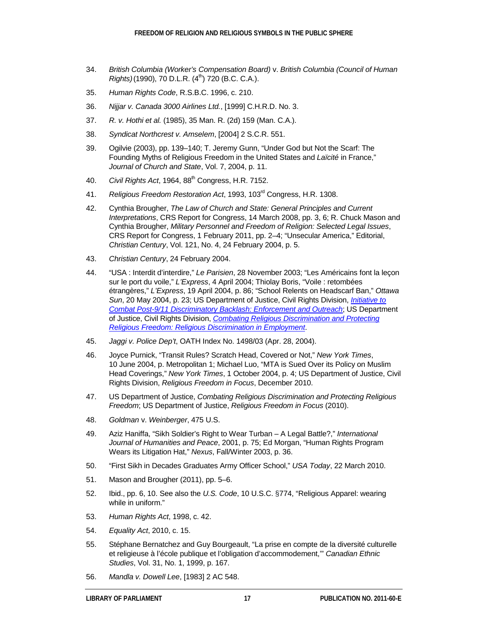- <span id="page-20-0"></span>34. *British Columbia (Worker's Compensation Board)* v. *British Columbia (Council of Human Rights*)(1990), 70 D.L.R. (4<sup>th</sup>) 720 (B.C. C.A.).
- <span id="page-20-1"></span>35. *Human Rights Code*, R.S.B.C. 1996, c. 210.
- <span id="page-20-2"></span>36. *Nijjar v. Canada 3000 Airlines Ltd.*, [1999] C.H.R.D. No. 3.
- <span id="page-20-3"></span>37. *R. v. Hothi et al.* (1985), 35 Man. R. (2d) 159 (Man. C.A.).
- <span id="page-20-4"></span>38. *Syndicat Northcrest v. Amselem*, [2004] 2 S.C.R. 551.
- <span id="page-20-5"></span>39. Ogilvie (2003), pp. 139–140; T. Jeremy Gunn, "Under God but Not the Scarf: The Founding Myths of Religious Freedom in the United States and *Laïcité* in France," *Journal of Church and State*, Vol. 7, 2004, p. 11.
- <span id="page-20-6"></span>40. *Civil Rights Act*, 1964, 88th Congress, H.R. 7152.
- <span id="page-20-7"></span>41. *Religious Freedom Restoration Act*, 1993, 103rd Congress, H.R. 1308.
- <span id="page-20-8"></span>42. Cynthia Brougher, *The Law of Church and State: General Principles and Current Interpretations*, CRS Report for Congress, 14 March 2008, pp. 3, 6; R. Chuck Mason and Cynthia Brougher, *Military Personnel and Freedom of Religion: Selected Legal Issues*, CRS Report for Congress, 1 February 2011, pp. 2–4; "Unsecular America," Editorial, *Christian Century*, Vol. 121, No. 4, 24 February 2004, p. 5.
- <span id="page-20-9"></span>43. *Christian Century*, 24 February 2004.
- <span id="page-20-10"></span>44. "USA : Interdit d'interdire," *Le Parisien*, 28 November 2003; "Les Américains font la leçon sur le port du voile," *L'Express*, 4 April 2004; Thiolay Boris, "Voile : retombées étrangères," *L'Express*, 19 April 2004, p. 86; "School Relents on Headscarf Ban," *Ottawa Sun*, 20 May 2004, p. 23; US Department of Justice, Civil Rights Division, *[Initiative to](http://www.justice.gov/crt/legalinfo/discrimupdate.php) [Combat Post-9/11 Discriminatory Backlash: Enforcement and Outreach](http://www.justice.gov/crt/legalinfo/discrimupdate.php)*; US Department of Justice, Civil Rights Division, *[Combating Religious Discrimination and Protecting](http://www.justice.gov/crt/spec_topics/religiousdiscrimination/ff_employment.php)  [Religious Freedom: Religious Discrimination in Employment](http://www.justice.gov/crt/spec_topics/religiousdiscrimination/ff_employment.php)*.
- <span id="page-20-11"></span>45. *Jaggi v. Police Dep't*, OATH Index No. 1498/03 (Apr. 28, 2004).
- <span id="page-20-12"></span>46. Joyce Purnick, "Transit Rules? Scratch Head, Covered or Not," *New York Times*, 10 June 2004, p. Metropolitan 1; Michael Luo, "MTA is Sued Over its Policy on Muslim Head Coverings," *New York Times*, 1 October 2004, p. 4; US Department of Justice, Civil Rights Division, *Religious Freedom in Focus*, December 2010.
- <span id="page-20-13"></span>47. US Department of Justice, *Combating Religious Discrimination and Protecting Religious Freedom*; US Department of Justice, *Religious Freedom in Focus* (2010).
- <span id="page-20-14"></span>48. *Goldman* v. *Weinberger*, 475 U.S.
- <span id="page-20-15"></span>49. Aziz Haniffa, "Sikh Soldier's Right to Wear Turban – A Legal Battle?," *International Journal of Humanities and Peace*, 2001, p. 75; Ed Morgan, "Human Rights Program Wears its Litigation Hat," *Nexus*, Fall/Winter 2003, p. 36.
- <span id="page-20-16"></span>50. "First Sikh in Decades Graduates Army Officer School," *USA Today*, 22 March 2010.
- <span id="page-20-17"></span>51. Mason and Brougher (2011), pp. 5–6.
- <span id="page-20-18"></span>52. Ibid., pp. 6, 10. See also the *U.S. Code*, 10 U.S.C. §774, "Religious Apparel: wearing while in uniform."
- <span id="page-20-19"></span>53. *Human Rights Act*, 1998, c. 42.
- <span id="page-20-20"></span>54. *Equality Act*, 2010, c. 15.
- <span id="page-20-21"></span>55. Stéphane Bernatchez and Guy Bourgeault, "La prise en compte de la diversité culturelle et religieuse à l'école publique et l'obligation d'accommodement,'" *Canadian Ethnic Studies*, Vol. 31, No. 1, 1999, p. 167.
- <span id="page-20-22"></span>56. *Mandla v. Dowell Lee*, [1983] 2 AC 548.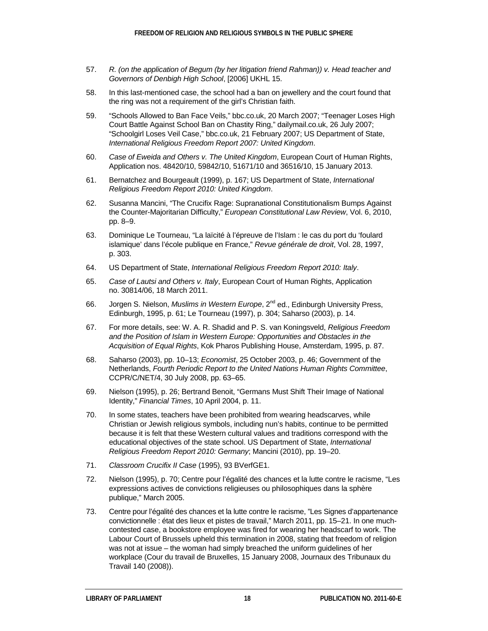- <span id="page-21-0"></span>57. *R. (on the application of Begum (by her litigation friend Rahman)) v. Head teacher and Governors of Denbigh High School*, [2006] UKHL 15.
- <span id="page-21-1"></span>58. In this last-mentioned case, the school had a ban on jewellery and the court found that the ring was not a requirement of the girl's Christian faith.
- <span id="page-21-2"></span>59. "Schools Allowed to Ban Face Veils," bbc.co.uk, 20 March 2007; "Teenager Loses High Court Battle Against School Ban on Chastity Ring," dailymail.co.uk, 26 July 2007; "Schoolgirl Loses Veil Case," bbc.co.uk, 21 February 2007; US Department of State, *International Religious Freedom Report 2007: United Kingdom*.
- <span id="page-21-3"></span>60. *Case of Eweida and Others v. The United Kingdom*, European Court of Human Rights, Application nos. 48420/10, 59842/10, 51671/10 and 36516/10, 15 January 2013.
- <span id="page-21-4"></span>61. Bernatchez and Bourgeault (1999), p. 167; US Department of State, *International Religious Freedom Report 2010: United Kingdom*.
- <span id="page-21-5"></span>62. Susanna Mancini, "The Crucifix Rage: Supranational Constitutionalism Bumps Against the Counter-Majoritarian Difficulty," *European Constitutional Law Review*, Vol. 6, 2010, pp. 8–9.
- <span id="page-21-6"></span>63. Dominique Le Tourneau, "La laïcité à l'épreuve de l'Islam : le cas du port du 'foulard islamique' dans l'école publique en France," *Revue générale de droit*, Vol. 28, 1997, p. 303.
- <span id="page-21-7"></span>64. US Department of State, *International Religious Freedom Report 2010: Italy*.
- <span id="page-21-8"></span>65. *Case of Lautsi and Others v. Italy*, European Court of Human Rights, Application no. 30814/06, 18 March 2011.
- <span id="page-21-9"></span>66. Jorgen S. Nielson, *Muslims in Western Europe*, 2<sup>nd</sup> ed., Edinburgh University Press, Edinburgh, 1995, p. 61; Le Tourneau (1997), p. 304; Saharso (2003), p. 14.
- <span id="page-21-10"></span>67. For more details, see: W. A. R. Shadid and P. S. van Koningsveld, *Religious Freedom and the Position of Islam in Western Europe: Opportunities and Obstacles in the Acquisition of Equal Rights*, Kok Pharos Publishing House, Amsterdam, 1995, p. 87.
- <span id="page-21-11"></span>68. Saharso (2003), pp. 10–13; *Economist*, 25 October 2003, p. 46; Government of the Netherlands, *Fourth Periodic Report to the United Nations Human Rights Committee*, CCPR/C/NET/4, 30 July 2008, pp. 63–65.
- <span id="page-21-12"></span>69. Nielson (1995), p. 26; Bertrand Benoit, "Germans Must Shift Their Image of National Identity," *Financial Times*, 10 April 2004, p. 11.
- <span id="page-21-13"></span>70. In some states, teachers have been prohibited from wearing headscarves, while Christian or Jewish religious symbols, including nun's habits, continue to be permitted because it is felt that these Western cultural values and traditions correspond with the educational objectives of the state school. US Department of State, *International Religious Freedom Report 2010: Germany*; Mancini (2010), pp. 19–20.
- <span id="page-21-14"></span>71. *Classroom Crucifix II Case* (1995), 93 BVerfGE1.
- <span id="page-21-15"></span>72. Nielson (1995), p. 70; Centre pour l'égalité des chances et la lutte contre le racisme, "Les expressions actives de convictions religieuses ou philosophiques dans la sphère publique," March 2005.
- <span id="page-21-16"></span>73. Centre pour l'égalité des chances et la lutte contre le racisme, "Les Signes d'appartenance convictionnelle : état des lieux et pistes de travail," March 2011, pp. 15–21. In one muchcontested case, a bookstore employee was fired for wearing her headscarf to work. The Labour Court of Brussels upheld this termination in 2008, stating that freedom of religion was not at issue – the woman had simply breached the uniform guidelines of her workplace (Cour du travail de Bruxelles, 15 January 2008, Journaux des Tribunaux du Travail 140 (2008)).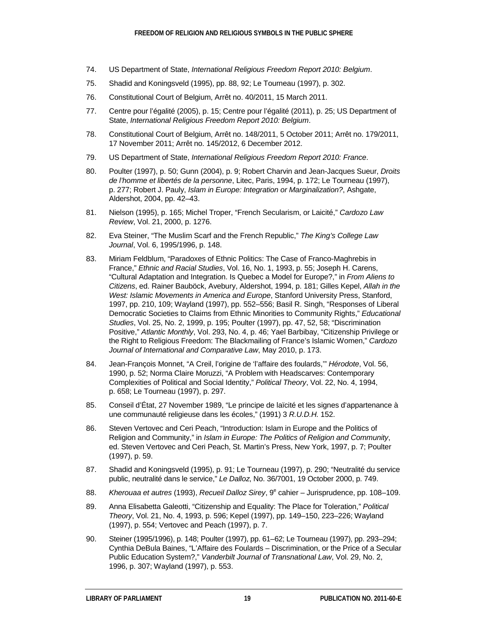- <span id="page-22-0"></span>74. US Department of State, *International Religious Freedom Report 2010: Belgium*.
- <span id="page-22-1"></span>75. Shadid and Koningsveld (1995), pp. 88, 92; Le Tourneau (1997), p. 302.
- <span id="page-22-2"></span>76. Constitutional Court of Belgium, Arrêt no. 40/2011, 15 March 2011.
- <span id="page-22-3"></span>77. Centre pour l'égalité (2005), p. 15; Centre pour l'égalité (2011), p. 25; US Department of State, *International Religious Freedom Report 2010: Belgium*.
- <span id="page-22-4"></span>78. Constitutional Court of Belgium, Arrêt no. 148/2011, 5 October 2011; Arrêt no. 179/2011, 17 November 2011; Arrêt no. 145/2012, 6 December 2012.
- <span id="page-22-5"></span>79. US Department of State, *International Religious Freedom Report 2010: France*.
- <span id="page-22-6"></span>80. Poulter (1997), p. 50; Gunn (2004), p. 9; Robert Charvin and Jean-Jacques Sueur, *Droits de l'homme et libertés de la personne*, Litec, Paris, 1994, p. 172; Le Tourneau (1997), p. 277; Robert J. Pauly, *Islam in Europe: Integration or Marginalization?*, Ashgate, Aldershot, 2004, pp. 42–43.
- <span id="page-22-7"></span>81. Nielson (1995), p. 165; Michel Troper, "French Secularism, or Laicité," *Cardozo Law Review*, Vol. 21, 2000, p. 1276.
- <span id="page-22-8"></span>82. Eva Steiner, "The Muslim Scarf and the French Republic," *The King's College Law Journal*, Vol. 6, 1995/1996, p. 148.
- <span id="page-22-9"></span>83. Miriam Feldblum, "Paradoxes of Ethnic Politics: The Case of Franco-Maghrebis in France," *Ethnic and Racial Studies*, Vol. 16, No. 1, 1993, p. 55; Joseph H. Carens, "Cultural Adaptation and Integration. Is Quebec a Model for Europe?," in *From Aliens to Citizens*, ed. Rainer Bauböck, Avebury, Aldershot, 1994, p. 181; Gilles Kepel, *Allah in the West: Islamic Movements in America and Europe*, Stanford University Press, Stanford, 1997, pp. 210, 109; Wayland (1997), pp. 552–556; Basil R. Singh, "Responses of Liberal Democratic Societies to Claims from Ethnic Minorities to Community Rights," *Educational Studies*, Vol. 25, No. 2, 1999, p. 195; Poulter (1997), pp. 47, 52, 58; "Discrimination Positive," *Atlantic Monthly*, Vol. 293, No. 4, p. 46; Yael Barbibay, "Citizenship Privilege or the Right to Religious Freedom: The Blackmailing of France's Islamic Women," *Cardozo Journal of International and Comparative Law*, May 2010, p. 173.
- <span id="page-22-10"></span>84. Jean-François Monnet, "A Creil, l'origine de 'l'affaire des foulards,'" *Hérodote*, Vol. 56, 1990, p. 52; Norma Claire Moruzzi, "A Problem with Headscarves: Contemporary Complexities of Political and Social Identity," *Political Theory*, Vol. 22, No. 4, 1994, p. 658; Le Tourneau (1997), p. 297.
- <span id="page-22-11"></span>85. Conseil d'État, 27 November 1989, "Le principe de laïcité et les signes d'appartenance à une communauté religieuse dans les écoles," (1991) 3 *R.U.D.H.* 152.
- <span id="page-22-12"></span>86. Steven Vertovec and Ceri Peach, "Introduction: Islam in Europe and the Politics of Religion and Community," in *Islam in Europe: The Politics of Religion and Community*, ed. Steven Vertovec and Ceri Peach, St. Martin's Press, New York, 1997, p. 7; Poulter (1997), p. 59.
- <span id="page-22-13"></span>87. Shadid and Koningsveld (1995), p. 91; Le Tourneau (1997), p. 290; "Neutralité du service public, neutralité dans le service," *Le Dalloz*, No. 36/7001, 19 October 2000, p. 749.
- <span id="page-22-14"></span>88. *Kherouaa et autres* (1993), *Recueil Dalloz Sirey*, 9e cahier – Jurisprudence, pp. 108–109.
- <span id="page-22-15"></span>89. Anna Elisabetta Galeotti, "Citizenship and Equality: The Place for Toleration," *Political Theory*, Vol. 21, No. 4, 1993, p. 596; Kepel (1997), pp. 149–150, 223–226; Wayland (1997), p. 554; Vertovec and Peach (1997), p. 7.
- <span id="page-22-16"></span>90. Steiner (1995/1996), p. 148; Poulter (1997), pp. 61–62; Le Tourneau (1997), pp. 293–294; Cynthia DeBula Baines, "L'Affaire des Foulards – Discrimination, or the Price of a Secular Public Education System?," *Vanderbilt Journal of Transnational Law*, Vol. 29, No. 2, 1996, p. 307; Wayland (1997), p. 553.